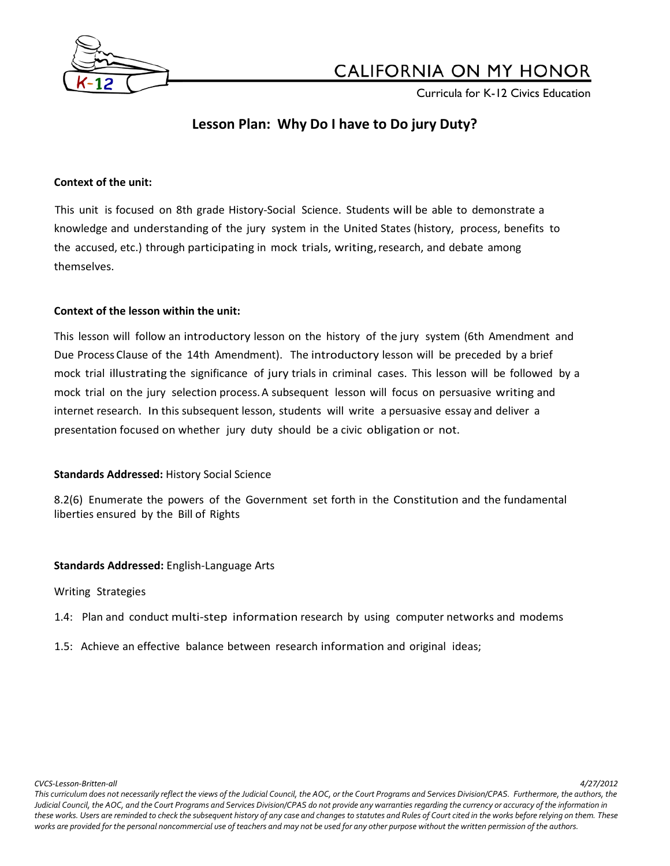

Curricula for K-12 Civics Education

## **Lesson Plan: Why Do I have to Do jury Duty?**

### **Context of the unit:**

This unit is focused on 8th grade History-Social Science. Students will be able to demonstrate a knowledge and understanding of the jury system in the United States (history, process, benefits to the accused, etc.) through participating in mock trials, writing,research, and debate among themselves.

## **Context of the lesson within the unit:**

This lesson will follow an introductory lesson on the history of the jury system (6th Amendment and Due Process Clause of the 14th Amendment). The introductory lesson will be preceded by a brief mock trial illustrating the significance of jury trials in criminal cases. This lesson will be followed by a mock trial on the jury selection process.A subsequent lesson will focus on persuasive writing and internet research. In this subsequent lesson, students will write a persuasive essay and deliver a presentation focused on whether jury duty should be a civic obligation or not.

## **Standards Addressed:** History Social Science

8.2(6) Enumerate the powers of the Government set forth in the Constitution and the fundamental liberties ensured by the Bill of Rights

## **Standards Addressed:** English-Language Arts

## Writing Strategies

- 1.4: Plan and conduct multi-step information research by using computer networks and modems
- 1.5: Achieve an effective balance between research information and original ideas;

*CVCS-Lesson-Britten-all 4/27/2012*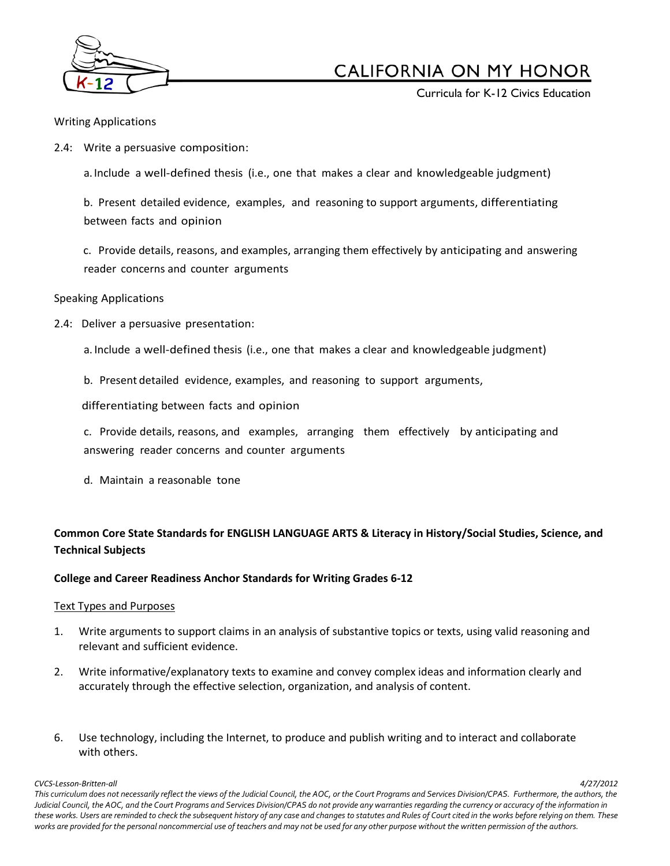

Curricula for K-12 Civics Education

#### Writing Applications

2.4: Write a persuasive composition:

a. Include a well-defined thesis (i.e., one that makes a clear and knowledgeable judgment)

b. Present detailed evidence, examples, and reasoning to support arguments, differentiating between facts and opinion

c. Provide details, reasons, and examples, arranging them effectively by anticipating and answering reader concerns and counter arguments

### Speaking Applications

2.4: Deliver a persuasive presentation:

a. Include a well-defined thesis (i.e., one that makes a clear and knowledgeable judgment)

b. Present detailed evidence, examples, and reasoning to support arguments,

differentiating between facts and opinion

c. Provide details, reasons, and examples, arranging them effectively by anticipating and answering reader concerns and counter arguments

d. Maintain a reasonable tone

## **Common Core State Standards for ENGLISH LANGUAGE ARTS & Literacy in History/Social Studies, Science, and Technical Subjects**

#### **College and Career Readiness Anchor Standards for Writing Grades 6-12**

#### Text Types and Purposes

- 1. Write arguments to support claims in an analysis of substantive topics or texts, using valid reasoning and relevant and sufficient evidence.
- 2. Write informative/explanatory texts to examine and convey complex ideas and information clearly and accurately through the effective selection, organization, and analysis of content.
- 6. Use technology, including the Internet, to produce and publish writing and to interact and collaborate with others.

*CVCS-Lesson-Britten-all 4/27/2012*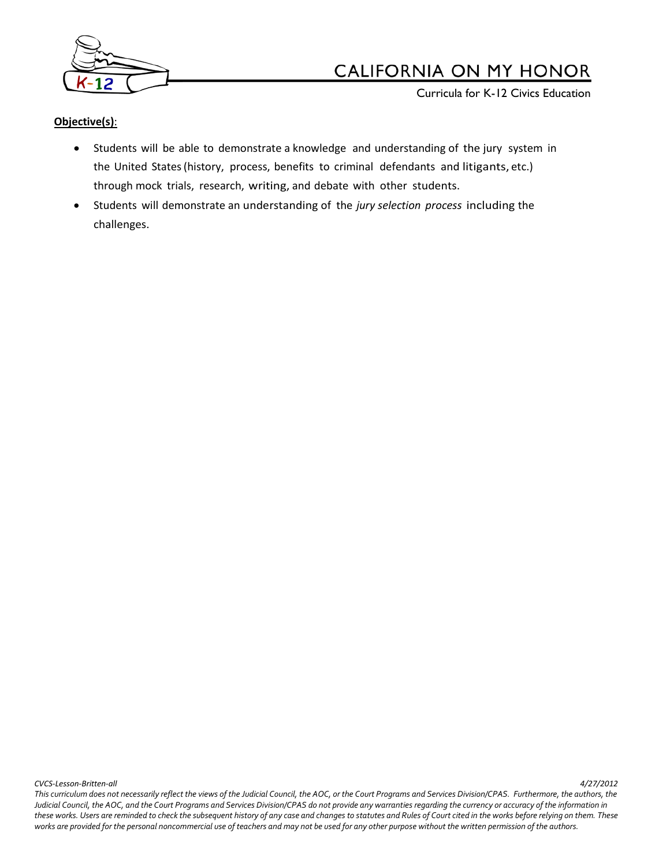

Curricula for K-12 Civics Education

## **Objective(s)**:

- Students will be able to demonstrate a knowledge and understanding of the jury system in the United States(history, process, benefits to criminal defendants and litigants, etc.) through mock trials, research, writing, and debate with other students.
- Students will demonstrate an understanding of the *jury selection process* including the challenges.

*CVCS-Lesson-Britten-all 4/27/2012*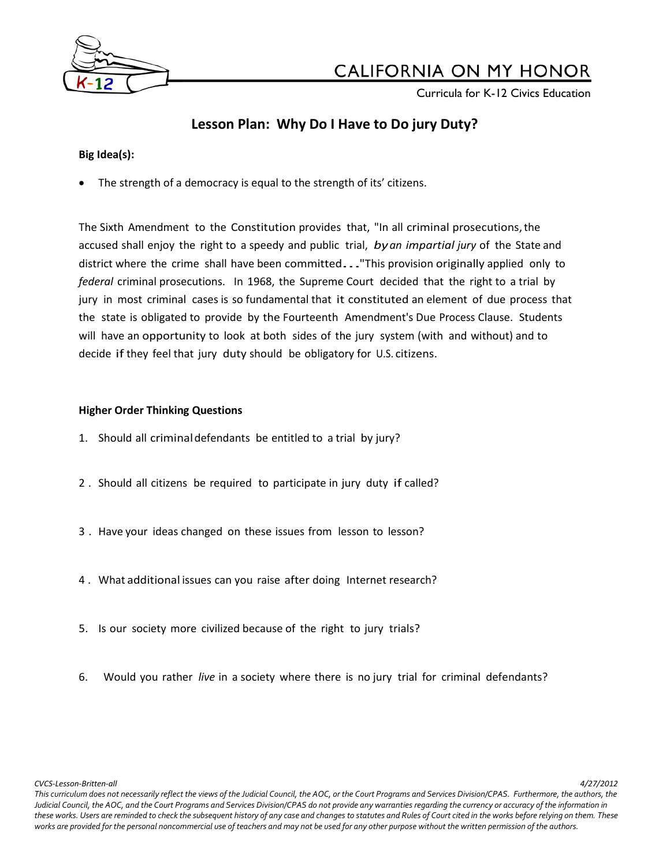

Curricula for K-12 Civics Education

## **Lesson Plan: Why Do I Have to Do jury Duty?**

## **Big Idea(s):**

The strength of a democracy is equal to the strength of its' citizens.

The Sixth Amendment to the Constitution provides that, "In all criminal prosecutions,the accused shall enjoy the right to a speedy and public trial, *byan impartial jury* of the State and district where the crime shall have been committed..."This provision originally applied only to *federal* criminal prosecutions. In 1968, the Supreme Court decided that the right to a trial by jury in most criminal cases is so fundamental that it constituted an element of due process that the state is obligated to provide by the Fourteenth Amendment's Due Process Clause. Students will have an opportunity to look at both sides of the jury system (with and without) and to decide if they feel that jury duty should be obligatory for U.S. citizens.

## **Higher Order Thinking Questions**

- 1. Should all criminaldefendants be entitled to a trial by jury?
- 2 . Should all citizens be required to participate in jury duty if called?
- 3 . Have your ideas changed on these issues from lesson to lesson?
- 4 . What additional issues can you raise after doing Internet research?
- 5. Is our society more civilized because of the right to jury trials?
- 6. Would you rather *live* in a society where there is no jury trial for criminal defendants?

*CVCS-Lesson-Britten-all 4/27/2012*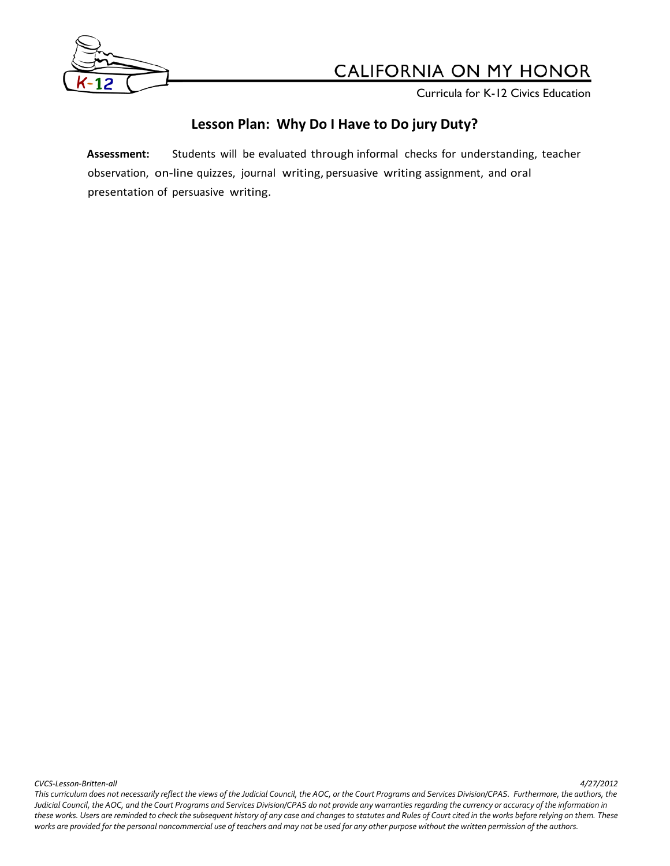

**Curricula for K-12 Civics Education** 

## **Lesson Plan: Why Do I Have to Do jury Duty?**

**Assessment:** Students will be evaluated through informal checks for understanding, teacher observation, on-line quizzes, journal writing, persuasive writing assignment, and oral presentation of persuasive writing.

*CVCS-Lesson-Britten-all 4/27/2012*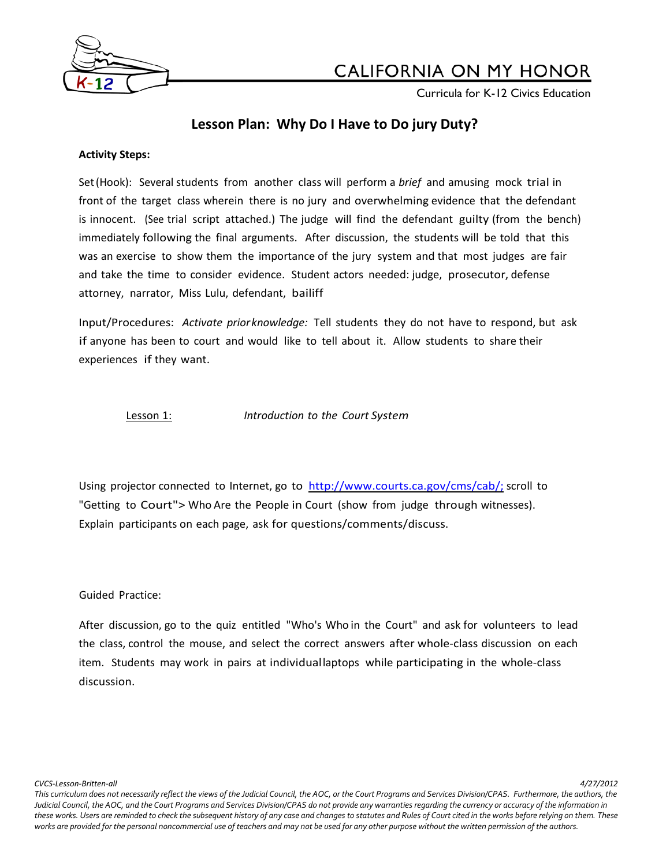

Curricula for K-12 Civics Education

## **Lesson Plan: Why Do I Have to Do jury Duty?**

#### **Activity Steps:**

Set(Hook): Several students from another class will perform a *brief* and amusing mock trial in front of the target class wherein there is no jury and overwhelming evidence that the defendant is innocent. (See trial script attached.) The judge will find the defendant guilty (from the bench) immediately following the final arguments. After discussion, the students will be told that this was an exercise to show them the importance of the jury system and that most judges are fair and take the time to consider evidence. Student actors needed: judge, prosecutor, defense attorney, narrator, Miss Lulu, defendant, bailiff

Input/Procedures: *Activate priorknowledge:* Tell students they do not have to respond, but ask if anyone has been to court and would like to tell about it. Allow students to share their experiences if they want.

Lesson 1: *Introduction to the Court System*

Using projector connected to Internet, go to [http://www.courts.ca.gov/cms/cab/;](http://www.courtinfo.ca.gov/programs/cab;) scroll to "Getting to Court"> Who Are the People in Court (show from judge through witnesses). Explain participants on each page, ask for questions/comments/discuss.

Guided Practice:

After discussion, go to the quiz entitled "Who's Who in the Court" and ask for volunteers to lead the class, control the mouse, and select the correct answers after whole-class discussion on each item. Students may work in pairs at individuallaptops while participating in the whole-class discussion.

*CVCS-Lesson-Britten-all 4/27/2012*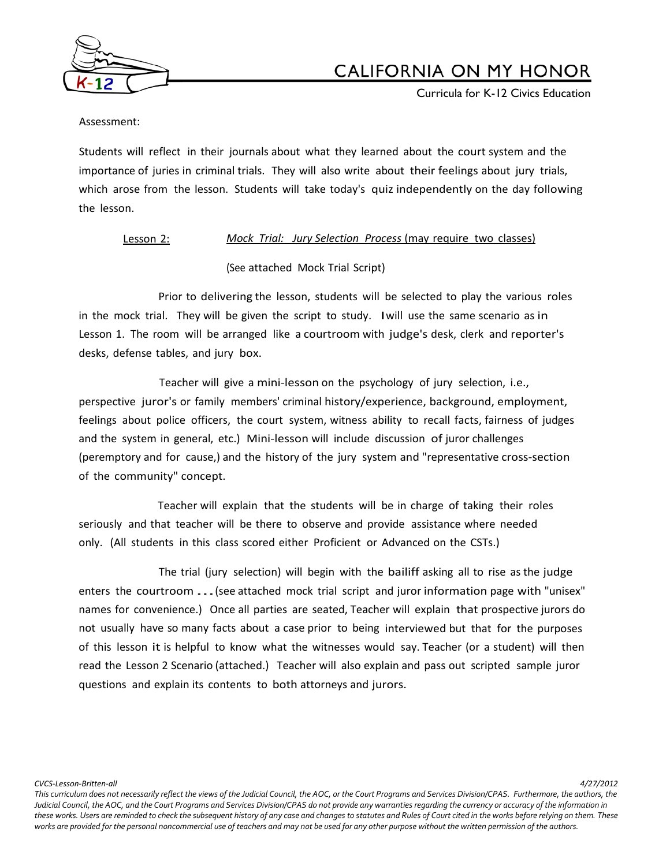

Curricula for K-12 Civics Education

Assessment:

Students will reflect in their journals about what they learned about the court system and the importance of juries in criminal trials. They will also write about their feelings about jury trials, which arose from the lesson. Students will take today's quiz independently on the day following the lesson.

## Lesson 2: *Mock Trial: Jury Selection Process* (may require two classes)

(See attached Mock Trial Script)

Prior to delivering the lesson, students will be selected to play the various roles in the mock trial. They will be given the script to study. Iwill use the same scenario as in Lesson 1. The room will be arranged like a courtroom with judge's desk, clerk and reporter's desks, defense tables, and jury box.

Teacher will give a mini-lesson on the psychology of jury selection, i.e., perspective juror's or family members' criminal history/experience, background, employment, feelings about police officers, the court system, witness ability to recall facts, fairness of judges and the system in general, etc.) Mini-lesson will include discussion of juror challenges (peremptory and for cause,) and the history of the jury system and "representative cross-section of the community" concept.

Teacher will explain that the students will be in charge of taking their roles seriously and that teacher will be there to observe and provide assistance where needed only. (All students in this class scored either Proficient or Advanced on the CSTs.)

The trial (jury selection) will begin with the bailiff asking all to rise as the judge enters the courtroom ...(see attached mock trial script and juror information page with "unisex" names for convenience.) Once all parties are seated, Teacher will explain that prospective jurors do not usually have so many facts about a case prior to being interviewed but that for the purposes of this lesson it is helpful to know what the witnesses would say. Teacher (or a student) will then read the Lesson 2 Scenario (attached.) Teacher will also explain and pass out scripted sample juror questions and explain its contents to both attorneys and jurors.

*CVCS-Lesson-Britten-all 4/27/2012*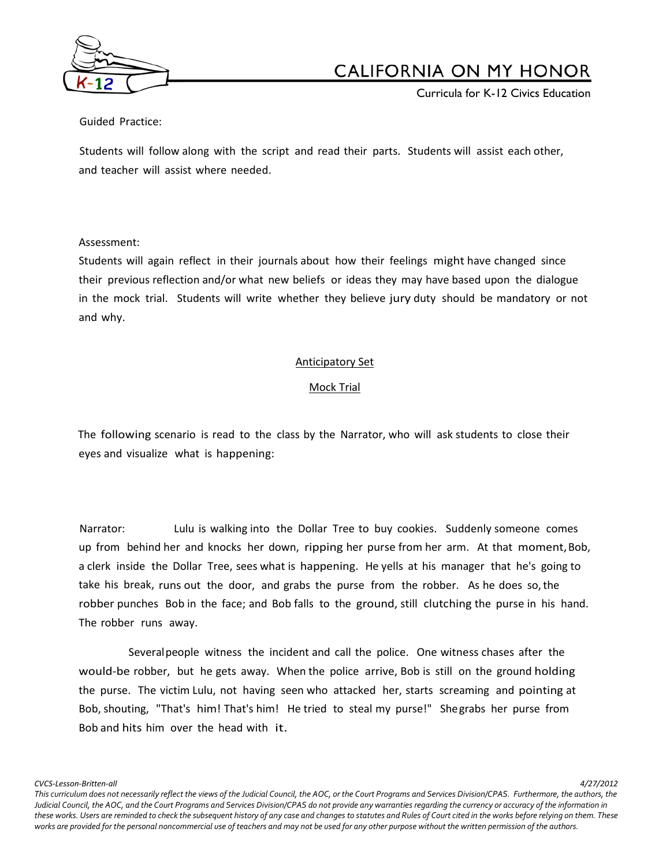

Curricula for K-12 Civics Education

Guided Practice:

Students will follow along with the script and read their parts. Students will assist each other, and teacher will assist where needed.

#### Assessment:

Students will again reflect in their journals about how their feelings might have changed since their previous reflection and/or what new beliefs or ideas they may have based upon the dialogue in the mock trial. Students will write whether they believe jury duty should be mandatory or not and why.

### Anticipatory Set

### Mock Trial

The following scenario is read to the class by the Narrator, who will ask students to close their eyes and visualize what is happening:

Narrator: Lulu is walking into the Dollar Tree to buy cookies. Suddenly someone comes up from behind her and knocks her down, ripping her purse from her arm. At that moment,Bob, a clerk inside the Dollar Tree, sees what is happening. He yells at his manager that he's going to take his break, runs out the door, and grabs the purse from the robber. As he does so,the robber punches Bob in the face; and Bob falls to the ground, still clutching the purse in his hand. The robber runs away.

Severalpeople witness the incident and call the police. One witness chases after the would-be robber, but he gets away. When the police arrive, Bob is still on the ground holding the purse. The victim Lulu, not having seen who attacked her, starts screaming and pointing at Bob, shouting, "That's him! That's him! He tried to steal my purse!" Shegrabs her purse from Bob and hits him over the head with it.

*CVCS-Lesson-Britten-all 4/27/2012*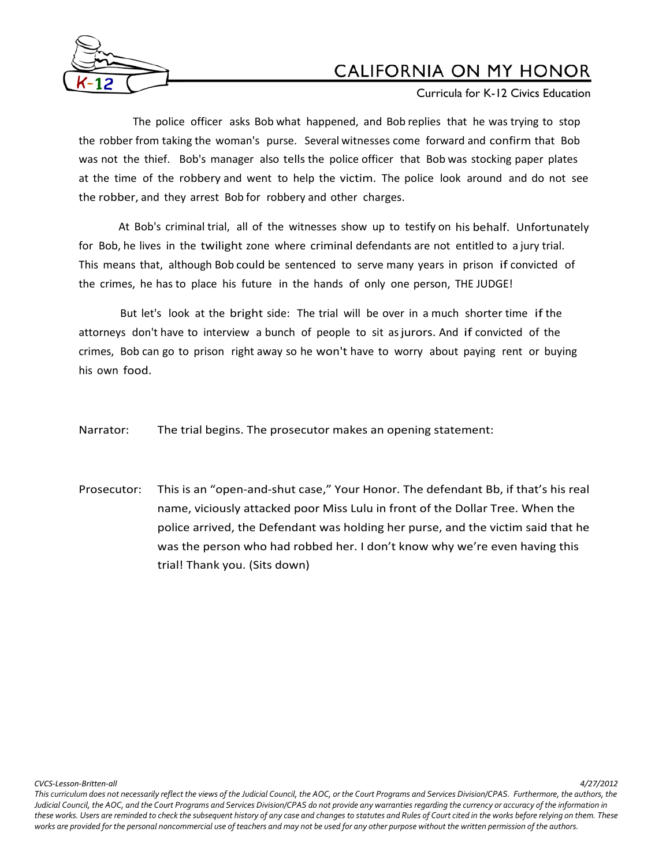

Curricula for K-12 Civics Education

The police officer asks Bob what happened, and Bob replies that he was trying to stop the robber from taking the woman's purse. Several witnesses come forward and confirm that Bob was not the thief. Bob's manager also tells the police officer that Bob was stocking paper plates at the time of the robbery and went to help the victim. The police look around and do not see the robber, and they arrest Bob for robbery and other charges.

At Bob's criminal trial, all of the witnesses show up to testify on his behalf. Unfortunately for Bob, he lives in the twilight zone where criminal defendants are not entitled to a jury trial. This means that, although Bob could be sentenced to serve many years in prison if convicted of the crimes, he has to place his future in the hands of only one person, THE JUDGE!

But let's look at the bright side: The trial will be over in a much shorter time if the attorneys don't have to interview a bunch of people to sit asjurors. And if convicted of the crimes, Bob can go to prison right away so he won't have to worry about paying rent or buying his own food.

Narrator: The trial begins. The prosecutor makes an opening statement:

Prosecutor: This is an "open-and-shut case," Your Honor. The defendant Bb, if that's his real name, viciously attacked poor Miss Lulu in front of the Dollar Tree. When the police arrived, the Defendant was holding her purse, and the victim said that he was the person who had robbed her. I don't know why we're even having this trial! Thank you. (Sits down)

*CVCS-Lesson-Britten-all 4/27/2012*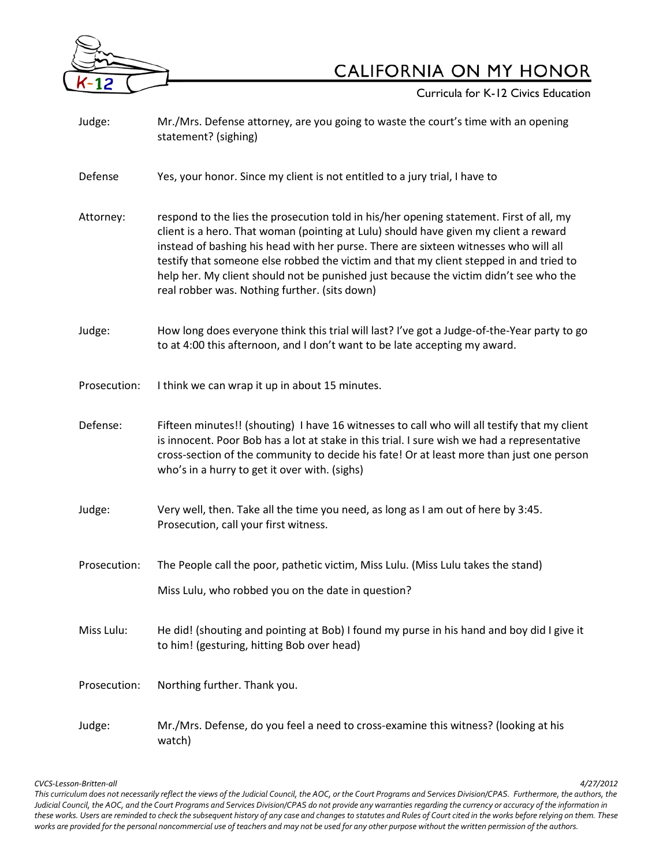

**Curricula for K-12 Civics Education** 

| Judge:       | Mr./Mrs. Defense attorney, are you going to waste the court's time with an opening<br>statement? (sighing)                                                                                                                                                                                                                                                                                                                                                                                                  |  |  |
|--------------|-------------------------------------------------------------------------------------------------------------------------------------------------------------------------------------------------------------------------------------------------------------------------------------------------------------------------------------------------------------------------------------------------------------------------------------------------------------------------------------------------------------|--|--|
| Defense      | Yes, your honor. Since my client is not entitled to a jury trial, I have to                                                                                                                                                                                                                                                                                                                                                                                                                                 |  |  |
| Attorney:    | respond to the lies the prosecution told in his/her opening statement. First of all, my<br>client is a hero. That woman (pointing at Lulu) should have given my client a reward<br>instead of bashing his head with her purse. There are sixteen witnesses who will all<br>testify that someone else robbed the victim and that my client stepped in and tried to<br>help her. My client should not be punished just because the victim didn't see who the<br>real robber was. Nothing further. (sits down) |  |  |
| Judge:       | How long does everyone think this trial will last? I've got a Judge-of-the-Year party to go<br>to at 4:00 this afternoon, and I don't want to be late accepting my award.                                                                                                                                                                                                                                                                                                                                   |  |  |
| Prosecution: | I think we can wrap it up in about 15 minutes.                                                                                                                                                                                                                                                                                                                                                                                                                                                              |  |  |
| Defense:     | Fifteen minutes!! (shouting) I have 16 witnesses to call who will all testify that my client<br>is innocent. Poor Bob has a lot at stake in this trial. I sure wish we had a representative<br>cross-section of the community to decide his fate! Or at least more than just one person<br>who's in a hurry to get it over with. (sighs)                                                                                                                                                                    |  |  |
| Judge:       | Very well, then. Take all the time you need, as long as I am out of here by 3:45.<br>Prosecution, call your first witness.                                                                                                                                                                                                                                                                                                                                                                                  |  |  |
| Prosecution: | The People call the poor, pathetic victim, Miss Lulu. (Miss Lulu takes the stand)<br>Miss Lulu, who robbed you on the date in question?                                                                                                                                                                                                                                                                                                                                                                     |  |  |
| Miss Lulu:   | He did! (shouting and pointing at Bob) I found my purse in his hand and boy did I give it<br>to him! (gesturing, hitting Bob over head)                                                                                                                                                                                                                                                                                                                                                                     |  |  |
| Prosecution: | Northing further. Thank you.                                                                                                                                                                                                                                                                                                                                                                                                                                                                                |  |  |
| Judge:       | Mr./Mrs. Defense, do you feel a need to cross-examine this witness? (looking at his                                                                                                                                                                                                                                                                                                                                                                                                                         |  |  |

*CVCS-Lesson-Britten-all 4/27/2012 This curriculum does not necessarily reflect the views of the Judicial Council, the AOC, or the Court Programs and Services Division/CPAS. Furthermore, the authors, the Judicial Council, the AOC, and the Court Programs and Services Division/CPAS do not provide any warranties regarding the currency or accuracy of the information in these works. Users are reminded to check the subsequent history of any case and changes to statutes and Rules of Court cited in the works before relying on them. These works are provided for the personal noncommercial use of teachers and may not be used for any other purpose without the written permission of the authors.*

watch)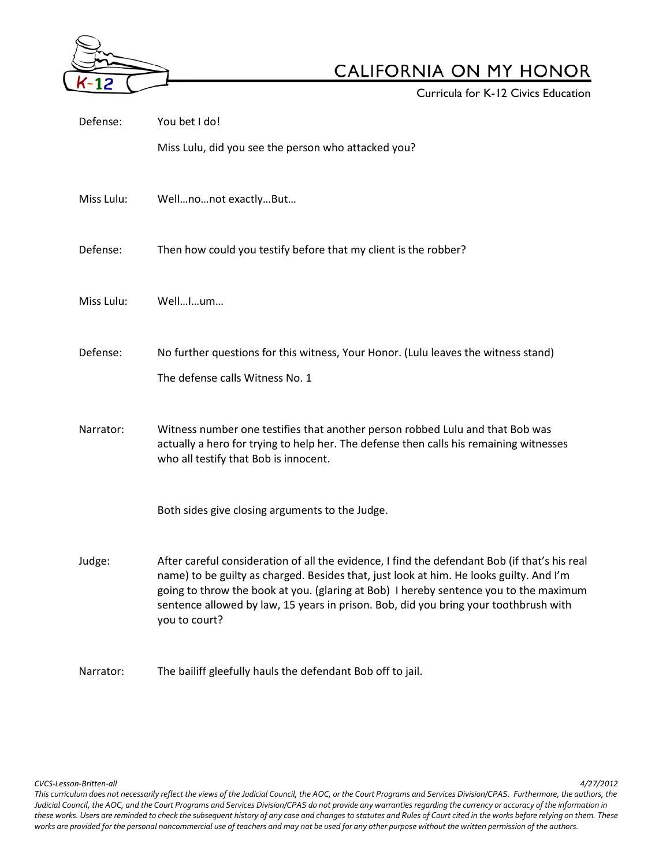

**Curricula for K-12 Civics Education** 

| Defense:   | You bet I do!                                                                                                                                                                                                                                                                                                                                                                              |  |  |
|------------|--------------------------------------------------------------------------------------------------------------------------------------------------------------------------------------------------------------------------------------------------------------------------------------------------------------------------------------------------------------------------------------------|--|--|
|            | Miss Lulu, did you see the person who attacked you?                                                                                                                                                                                                                                                                                                                                        |  |  |
| Miss Lulu: | Wellnonot exactlyBut                                                                                                                                                                                                                                                                                                                                                                       |  |  |
| Defense:   | Then how could you testify before that my client is the robber?                                                                                                                                                                                                                                                                                                                            |  |  |
| Miss Lulu: | WellIum                                                                                                                                                                                                                                                                                                                                                                                    |  |  |
| Defense:   | No further questions for this witness, Your Honor. (Lulu leaves the witness stand)                                                                                                                                                                                                                                                                                                         |  |  |
|            | The defense calls Witness No. 1                                                                                                                                                                                                                                                                                                                                                            |  |  |
| Narrator:  | Witness number one testifies that another person robbed Lulu and that Bob was<br>actually a hero for trying to help her. The defense then calls his remaining witnesses<br>who all testify that Bob is innocent.                                                                                                                                                                           |  |  |
|            | Both sides give closing arguments to the Judge.                                                                                                                                                                                                                                                                                                                                            |  |  |
| Judge:     | After careful consideration of all the evidence, I find the defendant Bob (if that's his real<br>name) to be guilty as charged. Besides that, just look at him. He looks guilty. And I'm<br>going to throw the book at you. (glaring at Bob) I hereby sentence you to the maximum<br>sentence allowed by law, 15 years in prison. Bob, did you bring your toothbrush with<br>you to court? |  |  |
| Narrator:  | The bailiff gleefully hauls the defendant Bob off to jail.                                                                                                                                                                                                                                                                                                                                 |  |  |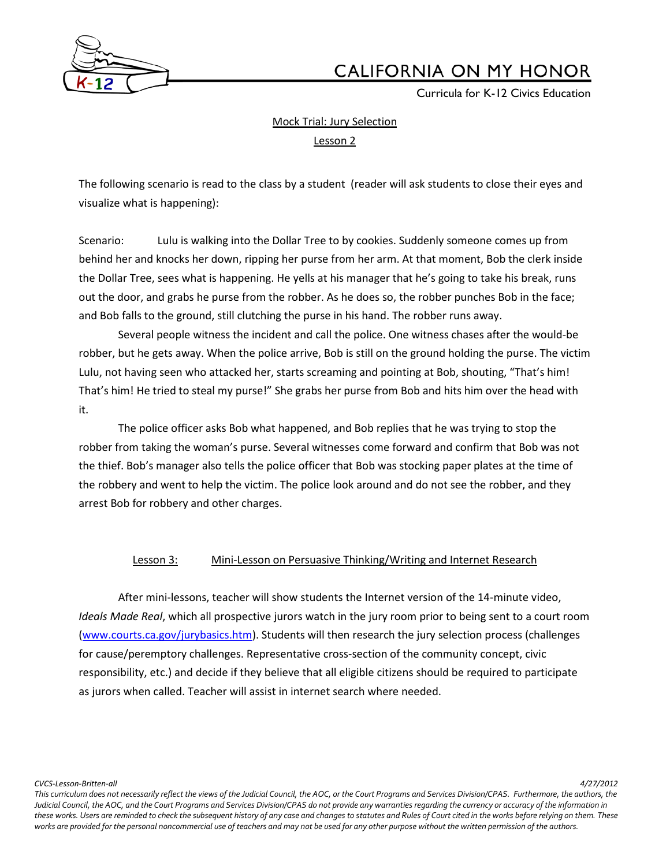

Curricula for K-12 Civics Education

# Mock Trial: Jury Selection

Lesson 2

The following scenario is read to the class by a student (reader will ask students to close their eyes and visualize what is happening):

Scenario: Lulu is walking into the Dollar Tree to by cookies. Suddenly someone comes up from behind her and knocks her down, ripping her purse from her arm. At that moment, Bob the clerk inside the Dollar Tree, sees what is happening. He yells at his manager that he's going to take his break, runs out the door, and grabs he purse from the robber. As he does so, the robber punches Bob in the face; and Bob falls to the ground, still clutching the purse in his hand. The robber runs away.

Several people witness the incident and call the police. One witness chases after the would-be robber, but he gets away. When the police arrive, Bob is still on the ground holding the purse. The victim Lulu, not having seen who attacked her, starts screaming and pointing at Bob, shouting, "That's him! That's him! He tried to steal my purse!" She grabs her purse from Bob and hits him over the head with it.

The police officer asks Bob what happened, and Bob replies that he was trying to stop the robber from taking the woman's purse. Several witnesses come forward and confirm that Bob was not the thief. Bob's manager also tells the police officer that Bob was stocking paper plates at the time of the robbery and went to help the victim. The police look around and do not see the robber, and they arrest Bob for robbery and other charges.

## Lesson 3: Mini-Lesson on Persuasive Thinking/Writing and Internet Research

After mini-lessons, teacher will show students the Internet version of the 14-minute video, *Ideals Made Real*, which all prospective jurors watch in the jury room prior to being sent to a court room [\(www.courts.ca.gov/jurybasics.htm\)](http://www.courts.ca.gov/jurybasics.htm). Students will then research the jury selection process (challenges for cause/peremptory challenges. Representative cross-section of the community concept, civic responsibility, etc.) and decide if they believe that all eligible citizens should be required to participate as jurors when called. Teacher will assist in internet search where needed.

*CVCS-Lesson-Britten-all 4/27/2012*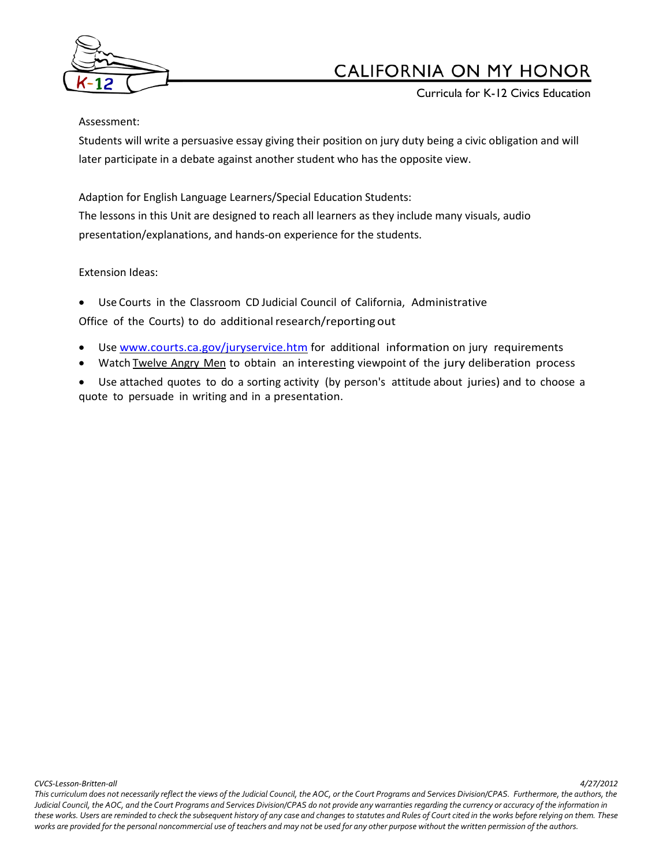

Curricula for K-12 Civics Education

#### Assessment:

Students will write a persuasive essay giving their position on jury duty being a civic obligation and will later participate in a debate against another student who has the opposite view.

Adaption for English Language Learners/Special Education Students: The lessons in this Unit are designed to reach all learners as they include many visuals, audio presentation/explanations, and hands-on experience for the students.

## Extension Ideas:

• Use Courts in the Classroom CD Judicial Council of California, Administrative Office of the Courts) to do additional research/reporting out

- Use [www.courts.ca.gov/juryservice.htm](http://www.courts.ca.gov/juryservice.htm) for additional information on jury requirements
- Watch Twelve Angry Men to obtain an interesting viewpoint of the jury deliberation process
- Use attached quotes to do a sorting activity (by person's attitude about juries) and to choose a quote to persuade in writing and in a presentation.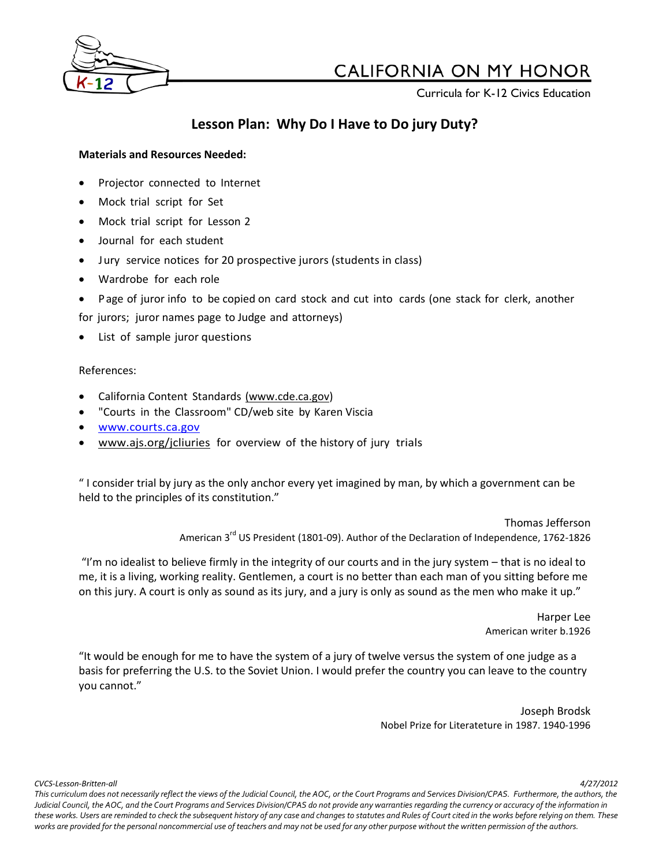

Curricula for K-12 Civics Education

## **Lesson Plan: Why Do I Have to Do jury Duty?**

## **Materials and Resources Needed:**

- Projector connected to Internet
- Mock trial script for Set
- Mock trial script for Lesson 2
- Journal for each student
- Jury service notices for 20 prospective jurors (students in class)
- Wardrobe for each role
- Page of juror info to be copied on card stock and cut into cards (one stack for clerk, another

for jurors; juror names page to Judge and attorneys)

List of sample juror questions

## References:

- California Content Standards [\(www.cde.ca.gov\)](http://www.cde.ca.gov/)
- "Courts in the Classroom" CD/web site by Karen Viscia
- [www.courts.ca.gov](http://www.courts.ca.gov/)
- [www.ajs.org/jcliuries](http://www.ajs.org/jcliuries) for overview of the history of jury trials

" I consider trial by jury as the only anchor every yet imagined by man, by which a government can be held to the principles of its constitution."

> Thomas Jefferson American 3<sup>rd</sup> US President (1801-09). Author of the Declaration of Independence, 1762-1826

"I'm no idealist to believe firmly in the integrity of our courts and in the jury system – that is no ideal to me, it is a living, working reality. Gentlemen, a court is no better than each man of you sitting before me on this jury. A court is only as sound as its jury, and a jury is only as sound as the men who make it up."

> Harper Lee American writer b.1926

"It would be enough for me to have the system of a jury of twelve versus the system of one judge as a basis for preferring the U.S. to the Soviet Union. I would prefer the country you can leave to the country you cannot."

> Joseph Brodsk Nobel Prize for Literateture in 1987. 1940-1996

*CVCS-Lesson-Britten-all 4/27/2012*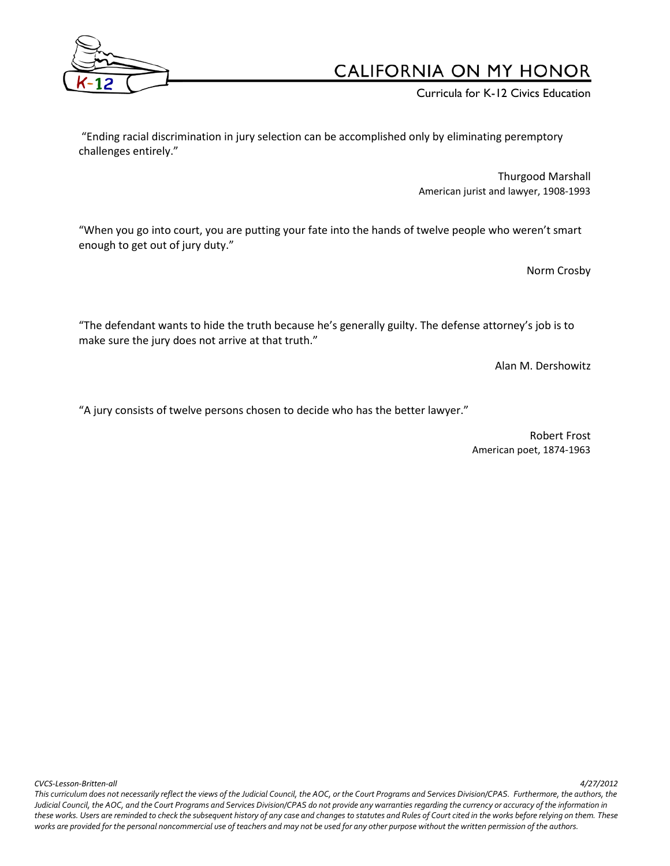

Curricula for K-12 Civics Education

"Ending racial discrimination in jury selection can be accomplished only by eliminating peremptory challenges entirely."

> Thurgood Marshall American jurist and lawyer, 1908-1993

"When you go into court, you are putting your fate into the hands of twelve people who weren't smart enough to get out of jury duty."

Norm Crosby

"The defendant wants to hide the truth because he's generally guilty. The defense attorney's job is to make sure the jury does not arrive at that truth."

Alan M. Dershowitz

"A jury consists of twelve persons chosen to decide who has the better lawyer."

Robert Frost American poet, 1874-1963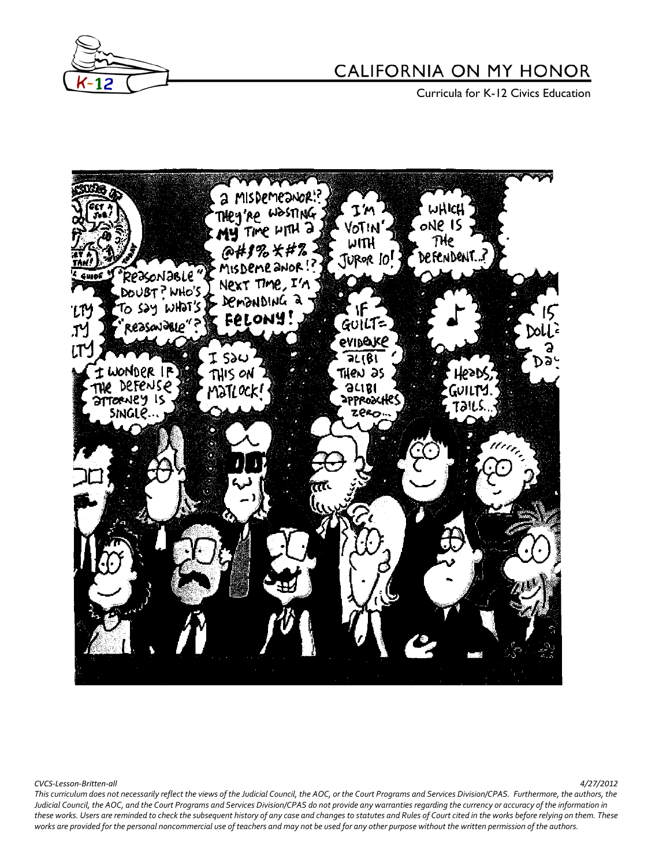

**Curricula for K-12 Civics Education** 



*CVCS-Lesson-Britten-all 4/27/2012*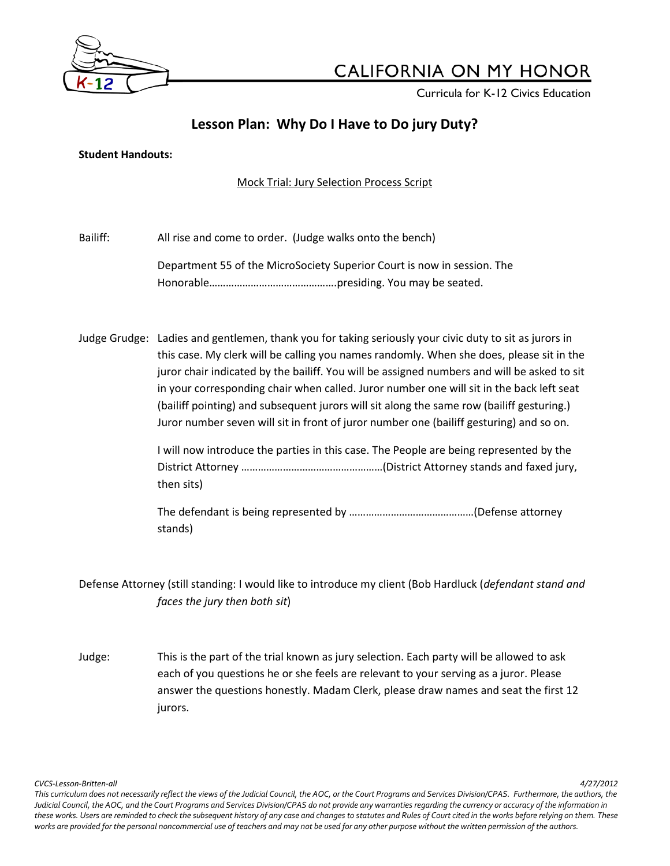

Curricula for K-12 Civics Education

# **Lesson Plan: Why Do I Have to Do jury Duty?**

### **Student Handouts:**

## Mock Trial: Jury Selection Process Script

Bailiff: All rise and come to order. (Judge walks onto the bench)

Department 55 of the MicroSociety Superior Court is now in session. The Honorable……………………………………….presiding. You may be seated.

Judge Grudge: Ladies and gentlemen, thank you for taking seriously your civic duty to sit as jurors in this case. My clerk will be calling you names randomly. When she does, please sit in the juror chair indicated by the bailiff. You will be assigned numbers and will be asked to sit in your corresponding chair when called. Juror number one will sit in the back left seat (bailiff pointing) and subsequent jurors will sit along the same row (bailiff gesturing.) Juror number seven will sit in front of juror number one (bailiff gesturing) and so on.

> I will now introduce the parties in this case. The People are being represented by the District Attorney ……………………………………………(District Attorney stands and faxed jury, then sits)

The defendant is being represented by ………………………………………(Defense attorney stands)

Defense Attorney (still standing: I would like to introduce my client (Bob Hardluck (*defendant stand and faces the jury then both sit*)

Judge: This is the part of the trial known as jury selection. Each party will be allowed to ask each of you questions he or she feels are relevant to your serving as a juror. Please answer the questions honestly. Madam Clerk, please draw names and seat the first 12 jurors.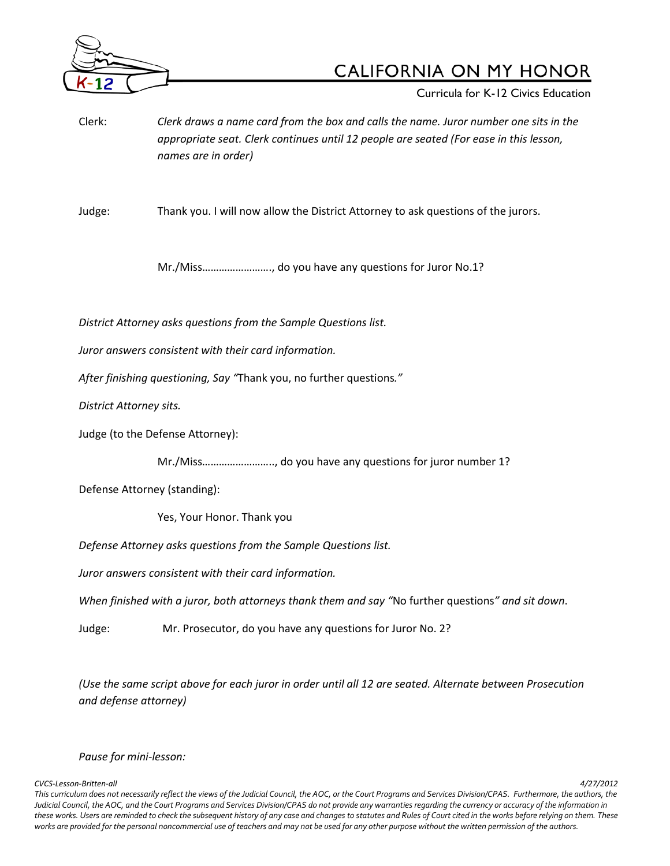

Curricula for K-12 Civics Education

Clerk: *Clerk draws a name card from the box and calls the name. Juror number one sits in the appropriate seat. Clerk continues until 12 people are seated (For ease in this lesson, names are in order)*

Judge: Thank you. I will now allow the District Attorney to ask questions of the jurors.

Mr./Miss……………………., do you have any questions for Juror No.1?

*District Attorney asks questions from the Sample Questions list.*

*Juror answers consistent with their card information.*

*After finishing questioning, Say "*Thank you, no further questions*."*

*District Attorney sits.*

Judge (to the Defense Attorney):

Mr./Miss…………………….., do you have any questions for juror number 1?

Defense Attorney (standing):

Yes, Your Honor. Thank you

*Defense Attorney asks questions from the Sample Questions list.*

*Juror answers consistent with their card information.*

*When finished with a juror, both attorneys thank them and say "*No further questions*" and sit down*.

Judge: Mr. Prosecutor, do you have any questions for Juror No. 2?

*(Use the same script above for each juror in order until all 12 are seated. Alternate between Prosecution and defense attorney)*

#### *Pause for mini-lesson:*

*CVCS-Lesson-Britten-all 4/27/2012*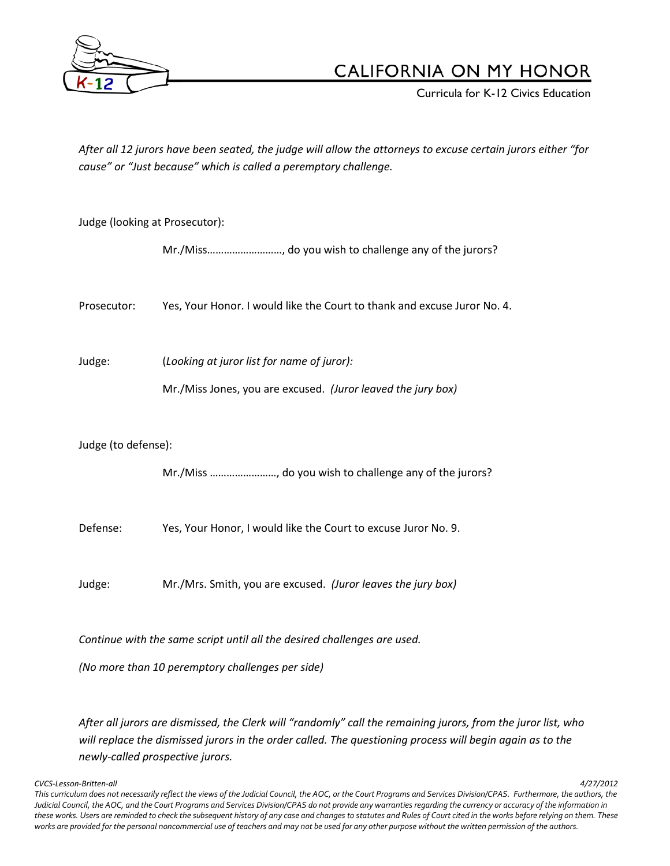

Curricula for K-12 Civics Education

*After all 12 jurors have been seated, the judge will allow the attorneys to excuse certain jurors either "for cause" or "Just because" which is called a peremptory challenge.*

| Judge (looking at Prosecutor):                                           |                                                                          |  |  |  |
|--------------------------------------------------------------------------|--------------------------------------------------------------------------|--|--|--|
|                                                                          | Mr./Miss, do you wish to challenge any of the jurors?                    |  |  |  |
| Prosecutor:                                                              | Yes, Your Honor. I would like the Court to thank and excuse Juror No. 4. |  |  |  |
| Judge:                                                                   | (Looking at juror list for name of juror):                               |  |  |  |
|                                                                          | Mr./Miss Jones, you are excused. (Juror leaved the jury box)             |  |  |  |
| Judge (to defense):                                                      |                                                                          |  |  |  |
|                                                                          |                                                                          |  |  |  |
| Defense:                                                                 | Yes, Your Honor, I would like the Court to excuse Juror No. 9.           |  |  |  |
| Judge:                                                                   | Mr./Mrs. Smith, you are excused. (Juror leaves the jury box)             |  |  |  |
| Continue with the same script until all the desired challenges are used. |                                                                          |  |  |  |
| (No more than 10 peremptory challenges per side)                         |                                                                          |  |  |  |

*After all jurors are dismissed, the Clerk will "randomly" call the remaining jurors, from the juror list, who will replace the dismissed jurors in the order called. The questioning process will begin again as to the newly-called prospective jurors.*

*CVCS-Lesson-Britten-all 4/27/2012*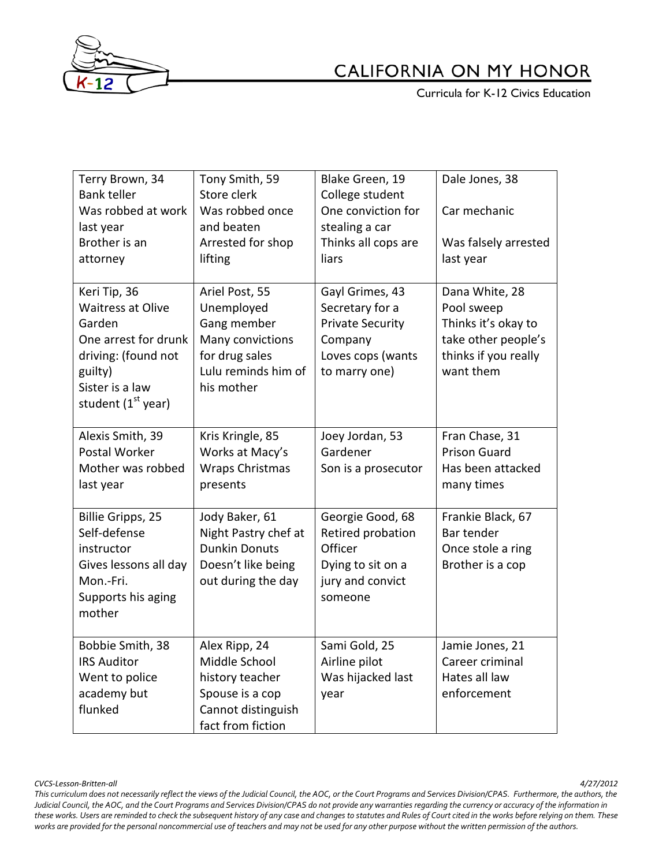

**Curricula for K-12 Civics Education** 

| Terry Brown, 34<br><b>Bank teller</b><br>Was robbed at work<br>last year<br>Brother is an<br>attorney                                                             | Tony Smith, 59<br>Store clerk<br>Was robbed once<br>and beaten<br>Arrested for shop<br>lifting                         | Blake Green, 19<br>College student<br>One conviction for<br>stealing a car<br>Thinks all cops are<br>liars     | Dale Jones, 38<br>Car mechanic<br>Was falsely arrested<br>last year                                             |
|-------------------------------------------------------------------------------------------------------------------------------------------------------------------|------------------------------------------------------------------------------------------------------------------------|----------------------------------------------------------------------------------------------------------------|-----------------------------------------------------------------------------------------------------------------|
| Keri Tip, 36<br><b>Waitress at Olive</b><br>Garden<br>One arrest for drunk<br>driving: (found not<br>guilty)<br>Sister is a law<br>student (1 <sup>st</sup> year) | Ariel Post, 55<br>Unemployed<br>Gang member<br>Many convictions<br>for drug sales<br>Lulu reminds him of<br>his mother | Gayl Grimes, 43<br>Secretary for a<br><b>Private Security</b><br>Company<br>Loves cops (wants<br>to marry one) | Dana White, 28<br>Pool sweep<br>Thinks it's okay to<br>take other people's<br>thinks if you really<br>want them |
| Alexis Smith, 39<br>Postal Worker<br>Mother was robbed<br>last year                                                                                               | Kris Kringle, 85<br>Works at Macy's<br><b>Wraps Christmas</b><br>presents                                              | Joey Jordan, 53<br>Gardener<br>Son is a prosecutor                                                             | Fran Chase, 31<br><b>Prison Guard</b><br>Has been attacked<br>many times                                        |
| Billie Gripps, 25<br>Self-defense<br>instructor<br>Gives lessons all day<br>Mon.-Fri.<br>Supports his aging<br>mother                                             | Jody Baker, 61<br>Night Pastry chef at<br><b>Dunkin Donuts</b><br>Doesn't like being<br>out during the day             | Georgie Good, 68<br>Retired probation<br>Officer<br>Dying to sit on a<br>jury and convict<br>someone           | Frankie Black, 67<br>Bar tender<br>Once stole a ring<br>Brother is a cop                                        |
| Bobbie Smith, 38<br><b>IRS Auditor</b><br>Went to police<br>academy but<br>flunked                                                                                | Alex Ripp, 24<br>Middle School<br>history teacher<br>Spouse is a cop<br>Cannot distinguish<br>fact from fiction        | Sami Gold, 25<br>Airline pilot<br>Was hijacked last<br>year                                                    | Jamie Jones, 21<br>Career criminal<br>Hates all law<br>enforcement                                              |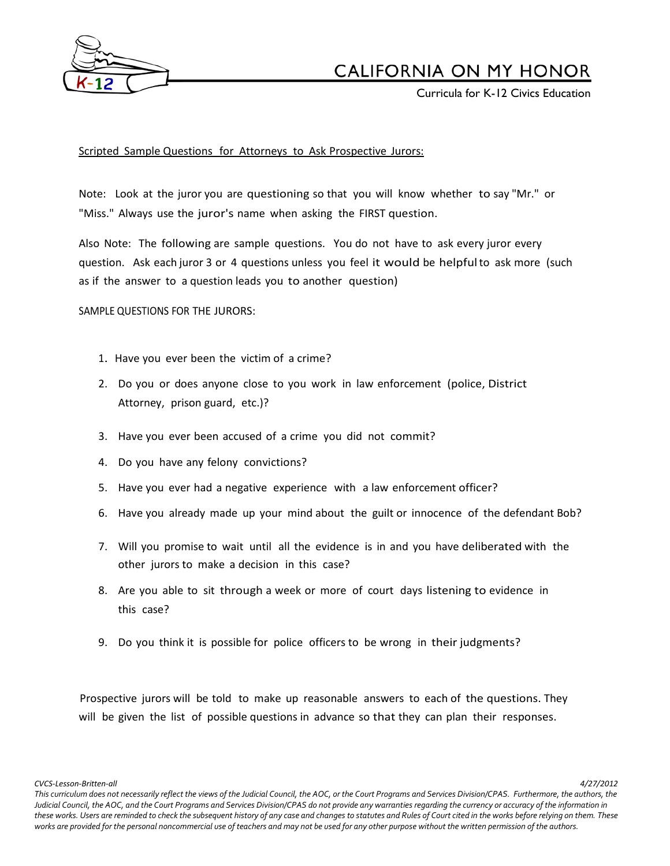

Curricula for K-12 Civics Education

### Scripted Sample Questions for Attorneys to Ask Prospective Jurors:

Note: Look at the juror you are questioning so that you will know whether to say "Mr." or "Miss." Always use the juror's name when asking the FIRST question.

Also Note: The following are sample questions. You do not have to ask every juror every question. Ask each juror 3 or 4 questions unless you feel it would be helpfulto ask more (such as if the answer to a question leads you to another question)

SAMPLE QUESTIONS FOR THE JURORS:

- 1. Have you ever been the victim of a crime?
- 2. Do you or does anyone close to you work in law enforcement (police, District Attorney, prison guard, etc.)?
- 3. Have you ever been accused of a crime you did not commit?
- 4. Do you have any felony convictions?
- 5. Have you ever had a negative experience with a law enforcement officer?
- 6. Have you already made up your mind about the guilt or innocence of the defendant Bob?
- 7. Will you promise to wait until all the evidence is in and you have deliberated with the other jurors to make a decision in this case?
- 8. Are you able to sit through a week or more of court days listening to evidence in this case?
- 9. Do you think it is possible for police officers to be wrong in their judgments?

Prospective jurors will be told to make up reasonable answers to each of the questions. They will be given the list of possible questions in advance so that they can plan their responses.

*CVCS-Lesson-Britten-all 4/27/2012*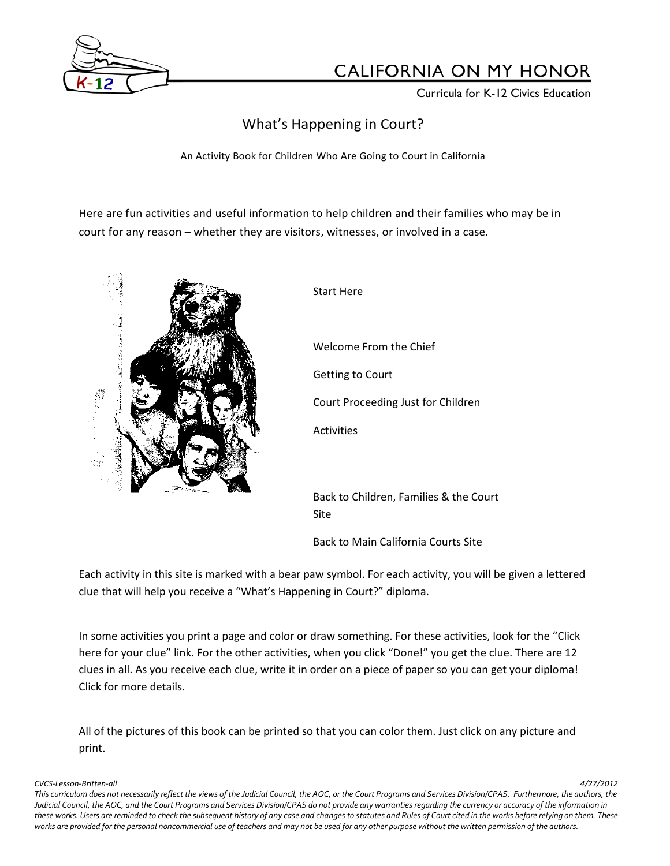

Curricula for K-12 Civics Education

# What's Happening in Court?

An Activity Book for Children Who Are Going to Court in California

Here are fun activities and useful information to help children and their families who may be in court for any reason – whether they are visitors, witnesses, or involved in a case.



Start Here Welcome From the Chief Getting to Court Court Proceeding Just for Children Activities Back to Children, Families & the Court

Back to Main California Courts Site

Each activity in this site is marked with a bear paw symbol. For each activity, you will be given a lettered clue that will help you receive a "What's Happening in Court?" diploma.

Site

In some activities you print a page and color or draw something. For these activities, look for the "Click here for your clue" link. For the other activities, when you click "Done!" you get the clue. There are 12 clues in all. As you receive each clue, write it in order on a piece of paper so you can get your diploma! Click for more details.

All of the pictures of this book can be printed so that you can color them. Just click on any picture and print.

#### *CVCS-Lesson-Britten-all 4/27/2012*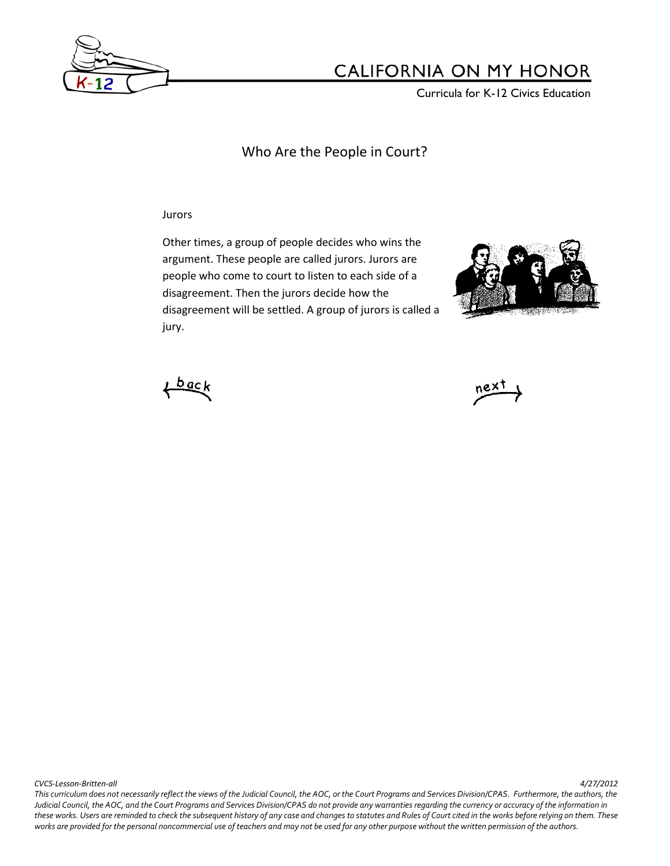

Curricula for K-12 Civics Education

Who Are the People in Court?

Jurors

Other times, a group of people decides who wins the argument. These people are called jurors. Jurors are people who come to court to listen to each side of a disagreement. Then the jurors decide how the disagreement will be settled. A group of jurors is called a jury.





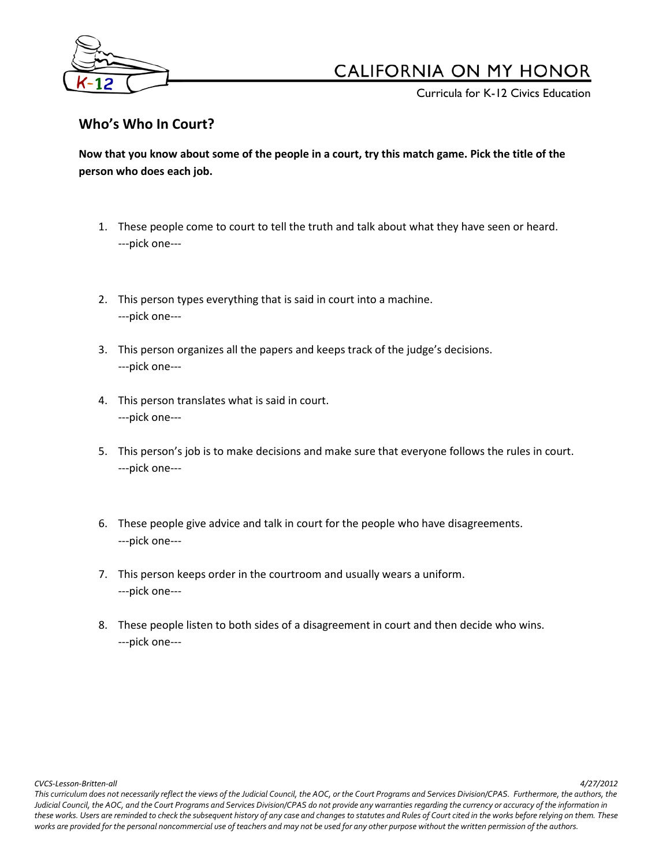

Curricula for K-12 Civics Education

## **Who's Who In Court?**

**Now that you know about some of the people in a court, try this match game. Pick the title of the person who does each job.**

- 1. These people come to court to tell the truth and talk about what they have seen or heard. ---pick one---
- 2. This person types everything that is said in court into a machine. ---pick one---
- 3. This person organizes all the papers and keeps track of the judge's decisions. ---pick one---
- 4. This person translates what is said in court. ---pick one---
- 5. This person's job is to make decisions and make sure that everyone follows the rules in court. ---pick one---
- 6. These people give advice and talk in court for the people who have disagreements. ---pick one---
- 7. This person keeps order in the courtroom and usually wears a uniform. ---pick one---
- 8. These people listen to both sides of a disagreement in court and then decide who wins. ---pick one---

*CVCS-Lesson-Britten-all 4/27/2012*